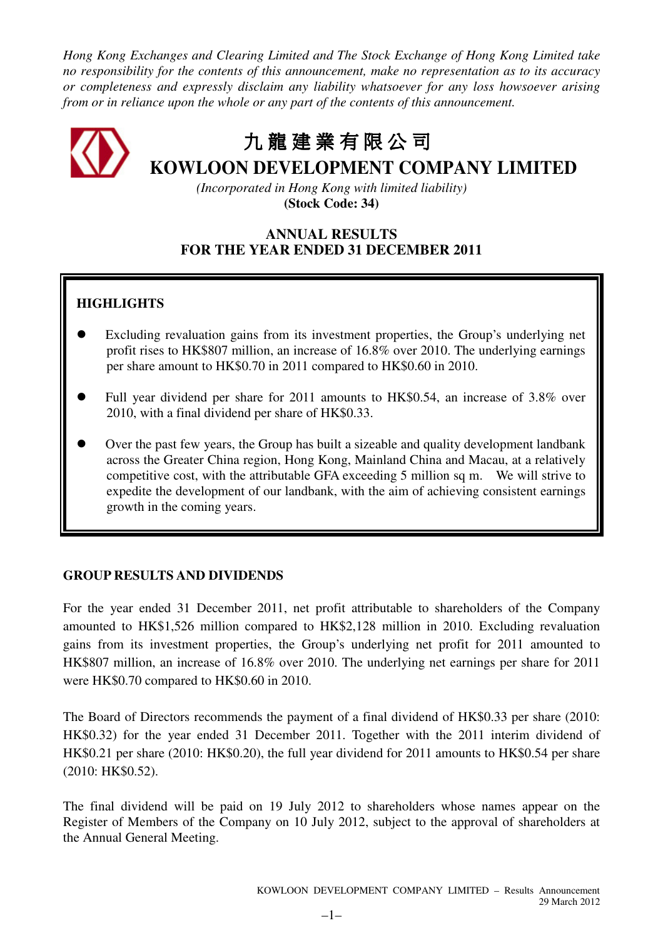*Hong Kong Exchanges and Clearing Limited and The Stock Exchange of Hong Kong Limited take no responsibility for the contents of this announcement, make no representation as to its accuracy or completeness and expressly disclaim any liability whatsoever for any loss howsoever arising from or in reliance upon the whole or any part of the contents of this announcement.* 

九 龍建業有限公司

**KOWLOON DEVELOPMENT COMPANY LIMITED** 

*(Incorporated in Hong Kong with limited liability)*  **(Stock Code: 34)** 

# **ANNUAL RESULTS FOR THE YEAR ENDED 31 DECEMBER 2011**

# **HIGHLIGHTS**

- Excluding revaluation gains from its investment properties, the Group's underlying net profit rises to HK\$807 million, an increase of 16.8% over 2010. The underlying earnings per share amount to HK\$0.70 in 2011 compared to HK\$0.60 in 2010.
- Full year dividend per share for 2011 amounts to HK\$0.54, an increase of 3.8% over 2010, with a final dividend per share of HK\$0.33.
- Over the past few years, the Group has built a sizeable and quality development landbank across the Greater China region, Hong Kong, Mainland China and Macau, at a relatively competitive cost, with the attributable GFA exceeding 5 million sq m. We will strive to expedite the development of our landbank, with the aim of achieving consistent earnings growth in the coming years.

# **GROUP RESULTS AND DIVIDENDS**

For the year ended 31 December 2011, net profit attributable to shareholders of the Company amounted to HK\$1,526 million compared to HK\$2,128 million in 2010. Excluding revaluation gains from its investment properties, the Group's underlying net profit for 2011 amounted to HK\$807 million, an increase of 16.8% over 2010. The underlying net earnings per share for 2011 were HK\$0.70 compared to HK\$0.60 in 2010.

The Board of Directors recommends the payment of a final dividend of HK\$0.33 per share (2010: HK\$0.32) for the year ended 31 December 2011. Together with the 2011 interim dividend of HK\$0.21 per share (2010: HK\$0.20), the full year dividend for 2011 amounts to HK\$0.54 per share (2010: HK\$0.52).

The final dividend will be paid on 19 July 2012 to shareholders whose names appear on the Register of Members of the Company on 10 July 2012, subject to the approval of shareholders at the Annual General Meeting.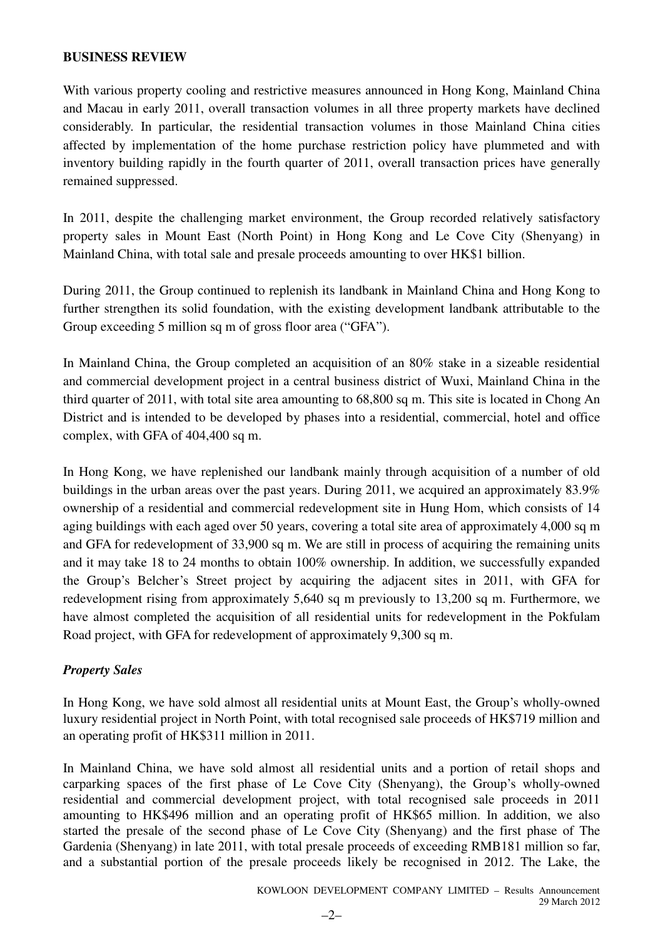### **BUSINESS REVIEW**

With various property cooling and restrictive measures announced in Hong Kong, Mainland China and Macau in early 2011, overall transaction volumes in all three property markets have declined considerably. In particular, the residential transaction volumes in those Mainland China cities affected by implementation of the home purchase restriction policy have plummeted and with inventory building rapidly in the fourth quarter of 2011, overall transaction prices have generally remained suppressed.

In 2011, despite the challenging market environment, the Group recorded relatively satisfactory property sales in Mount East (North Point) in Hong Kong and Le Cove City (Shenyang) in Mainland China, with total sale and presale proceeds amounting to over HK\$1 billion.

During 2011, the Group continued to replenish its landbank in Mainland China and Hong Kong to further strengthen its solid foundation, with the existing development landbank attributable to the Group exceeding 5 million sq m of gross floor area ("GFA").

In Mainland China, the Group completed an acquisition of an 80% stake in a sizeable residential and commercial development project in a central business district of Wuxi, Mainland China in the third quarter of 2011, with total site area amounting to 68,800 sq m. This site is located in Chong An District and is intended to be developed by phases into a residential, commercial, hotel and office complex, with GFA of 404,400 sq m.

In Hong Kong, we have replenished our landbank mainly through acquisition of a number of old buildings in the urban areas over the past years. During 2011, we acquired an approximately 83.9% ownership of a residential and commercial redevelopment site in Hung Hom, which consists of 14 aging buildings with each aged over 50 years, covering a total site area of approximately 4,000 sq m and GFA for redevelopment of 33,900 sq m. We are still in process of acquiring the remaining units and it may take 18 to 24 months to obtain 100% ownership. In addition, we successfully expanded the Group's Belcher's Street project by acquiring the adjacent sites in 2011, with GFA for redevelopment rising from approximately 5,640 sq m previously to 13,200 sq m. Furthermore, we have almost completed the acquisition of all residential units for redevelopment in the Pokfulam Road project, with GFA for redevelopment of approximately 9,300 sq m.

# *Property Sales*

In Hong Kong, we have sold almost all residential units at Mount East, the Group's wholly-owned luxury residential project in North Point, with total recognised sale proceeds of HK\$719 million and an operating profit of HK\$311 million in 2011.

In Mainland China, we have sold almost all residential units and a portion of retail shops and carparking spaces of the first phase of Le Cove City (Shenyang), the Group's wholly-owned residential and commercial development project, with total recognised sale proceeds in 2011 amounting to HK\$496 million and an operating profit of HK\$65 million. In addition, we also started the presale of the second phase of Le Cove City (Shenyang) and the first phase of The Gardenia (Shenyang) in late 2011, with total presale proceeds of exceeding RMB181 million so far, and a substantial portion of the presale proceeds likely be recognised in 2012. The Lake, the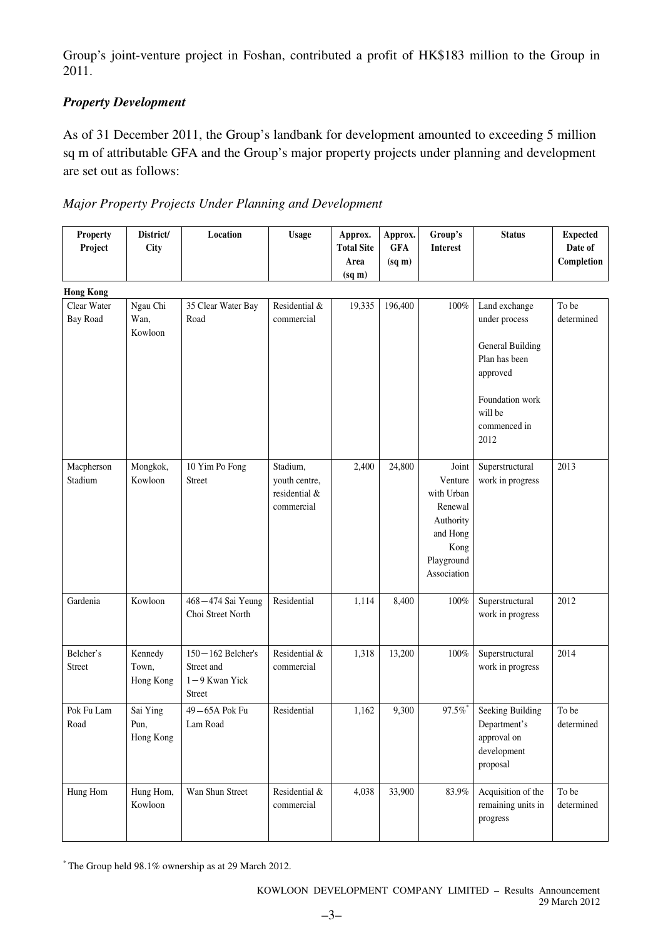Group's joint-venture project in Foshan, contributed a profit of HK\$183 million to the Group in 2011.

# *Property Development*

As of 31 December 2011, the Group's landbank for development amounted to exceeding 5 million sq m of attributable GFA and the Group's major property projects under planning and development are set out as follows:

| <b>Property</b><br>Project     | District/<br><b>City</b>      | Location                                                           | <b>Usage</b>                                             | Approx.<br><b>Total Site</b><br>Area<br>(sq m) | Approx.<br><b>GFA</b><br>(sq m) | Group's<br><b>Interest</b>                                                                              | <b>Status</b>                                                                                                                                | <b>Expected</b><br>Date of<br>Completion |
|--------------------------------|-------------------------------|--------------------------------------------------------------------|----------------------------------------------------------|------------------------------------------------|---------------------------------|---------------------------------------------------------------------------------------------------------|----------------------------------------------------------------------------------------------------------------------------------------------|------------------------------------------|
| <b>Hong Kong</b>               |                               |                                                                    |                                                          |                                                |                                 |                                                                                                         |                                                                                                                                              |                                          |
| Clear Water<br><b>Bay Road</b> | Ngau Chi<br>Wan,<br>Kowloon   | 35 Clear Water Bay<br>Road                                         | Residential &<br>commercial                              | 19,335                                         | 196,400                         | $100\%$                                                                                                 | Land exchange<br>under process<br><b>General Building</b><br>Plan has been<br>approved<br>Foundation work<br>will be<br>commenced in<br>2012 | To be<br>determined                      |
| Macpherson<br>Stadium          | Mongkok,<br>Kowloon           | 10 Yim Po Fong<br>Street                                           | Stadium,<br>youth centre,<br>residential &<br>commercial | 2,400                                          | 24,800                          | Joint<br>Venture<br>with Urban<br>Renewal<br>Authority<br>and Hong<br>Kong<br>Playground<br>Association | Superstructural<br>work in progress                                                                                                          | 2013                                     |
| Gardenia                       | Kowloon                       | 468-474 Sai Yeung<br>Choi Street North                             | Residential                                              | 1,114                                          | 8,400                           | 100%                                                                                                    | Superstructural<br>work in progress                                                                                                          | 2012                                     |
| Belcher's<br>Street            | Kennedy<br>Town,<br>Hong Kong | $150 - 162$ Belcher's<br>Street and<br>$1 - 9$ Kwan Yick<br>Street | Residential &<br>commercial                              | 1,318                                          | 13,200                          | $100\%$                                                                                                 | Superstructural<br>work in progress                                                                                                          | 2014                                     |
| Pok Fu Lam<br>Road             | Sai Ying<br>Pun,<br>Hong Kong | 49-65A Pok Fu<br>Lam Road                                          | Residential                                              | 1,162                                          | 9,300                           | $97.5\%$                                                                                                | Seeking Building<br>Department's<br>approval on<br>development<br>proposal                                                                   | To be<br>determined                      |
| Hung Hom                       | Hung Hom,<br>Kowloon          | Wan Shun Street                                                    | Residential &<br>commercial                              | 4,038                                          | 33,900                          | $83.9\%$                                                                                                | Acquisition of the<br>remaining units in<br>progress                                                                                         | To be<br>determined                      |

\* The Group held 98.1% ownership as at 29 March 2012.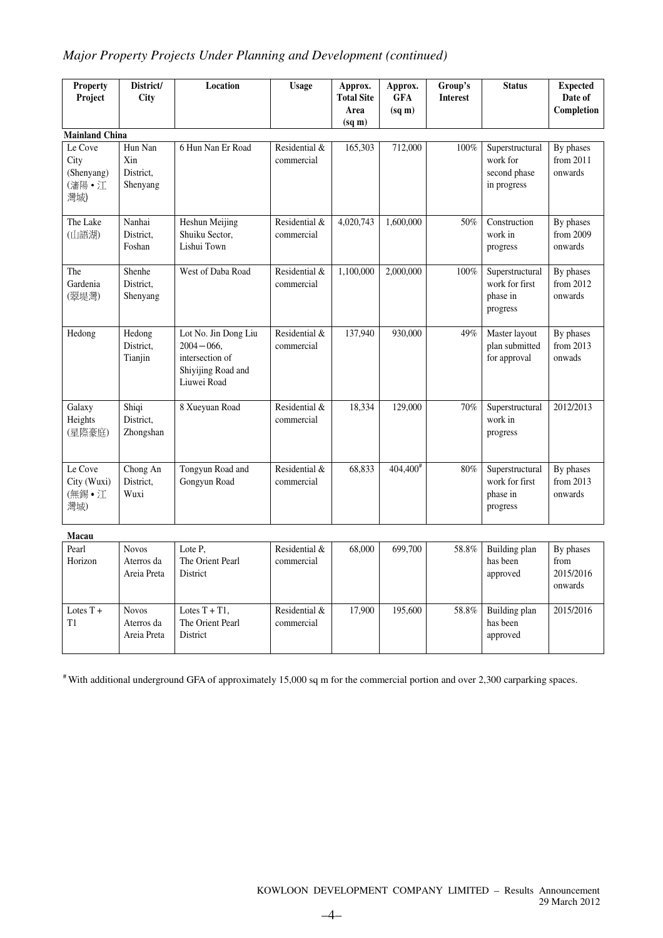# *Major Property Projects Under Planning and Development (continued)*

| Property<br>Project                           | District/<br>City                       | Location                                                                                       | <b>Usage</b>                | Approx.<br><b>Total Site</b><br>Area<br>$(sq \, \text{m})$ | Approx.<br><b>GFA</b><br>$(sq \, \text{m})$ | Group's<br><b>Interest</b> | <b>Status</b>                                              | <b>Expected</b><br>Date of<br>Completion |
|-----------------------------------------------|-----------------------------------------|------------------------------------------------------------------------------------------------|-----------------------------|------------------------------------------------------------|---------------------------------------------|----------------------------|------------------------------------------------------------|------------------------------------------|
| <b>Mainland China</b>                         |                                         |                                                                                                |                             |                                                            |                                             |                            |                                                            |                                          |
| Le Cove<br>City<br>(Shenyang)<br>(瀋陽·江<br>灣城) | Hun Nan<br>Xin<br>District.<br>Shenyang | 6 Hun Nan Er Road                                                                              | Residential &<br>commercial | 165,303                                                    | 712,000                                     | 100%                       | Superstructural<br>work for<br>second phase<br>in progress | By phases<br>from 2011<br>onwards        |
| The Lake<br>(山語湖)                             | Nanhai<br>District,<br>Foshan           | Heshun Meijing<br>Shuiku Sector,<br>Lishui Town                                                | Residential &<br>commercial | 4,020,743                                                  | 1,600,000                                   | 50%                        | Construction<br>work in<br>progress                        | By phases<br>from 2009<br>onwards        |
| The<br>Gardenia<br>(翠堤灣)                      | Shenhe<br>District,<br>Shenyang         | West of Daba Road                                                                              | Residential &<br>commercial | 1.100.000                                                  | 2.000,000                                   | 100%                       | Superstructural<br>work for first<br>phase in<br>progress  | By phases<br>from 2012<br>onwards        |
| Hedong                                        | Hedong<br>District,<br>Tianjin          | Lot No. Jin Dong Liu<br>$2004 - 066$ ,<br>intersection of<br>Shiyijing Road and<br>Liuwei Road | Residential &<br>commercial | 137,940                                                    | 930,000                                     | 49%                        | Master layout<br>plan submitted<br>for approval            | By phases<br>from 2013<br>onwads         |
| Galaxy<br>Heights<br>(星際豪庭)                   | Shiqi<br>District,<br>Zhongshan         | 8 Xueyuan Road                                                                                 | Residential &<br>commercial | 18,334                                                     | 129,000                                     | 70%                        | Superstructural<br>work in<br>progress                     | 2012/2013                                |
| Le Cove<br>City (Wuxi)<br>(無錫·江<br>灣城)        | Chong An<br>District,<br>Wuxi           | Tongyun Road and<br>Gongyun Road                                                               | Residential &<br>commercial | 68,833                                                     | $404,400^{\frac{4}{3}}$                     | 80%                        | Superstructural<br>work for first<br>phase in<br>progress  | By phases<br>from 2013<br>onwards        |
| Macau                                         |                                         |                                                                                                |                             |                                                            |                                             |                            |                                                            |                                          |
| Pearl<br>Horizon                              | <b>Novos</b><br>Aterros da              | Lote P,<br>The Orient Pearl                                                                    | Residential &<br>commercial | 68,000                                                     | 699,700                                     | 58.8%                      | <b>Building plan</b><br>has been                           | By phases<br>from                        |

| Pearl<br>Horizon  | <b>Novos</b><br>Aterros da<br>Areia Preta | Lote P.<br>The Orient Pearl<br>District          | Residential &<br>commercial | 68,000 | 699.700 | 58.8% | Building plan<br>has been<br>approved | By phases<br>from<br>2015/2016<br>onwards |
|-------------------|-------------------------------------------|--------------------------------------------------|-----------------------------|--------|---------|-------|---------------------------------------|-------------------------------------------|
| Lotes $T +$<br>T1 | <b>Novos</b><br>Aterros da<br>Areia Preta | Lotes $T + T1$ ,<br>The Orient Pearl<br>District | Residential &<br>commercial | 17.900 | 195,600 | 58.8% | Building plan<br>has been<br>approved | 2015/2016                                 |

# With additional underground GFA of approximately 15,000 sq m for the commercial portion and over 2,300 carparking spaces.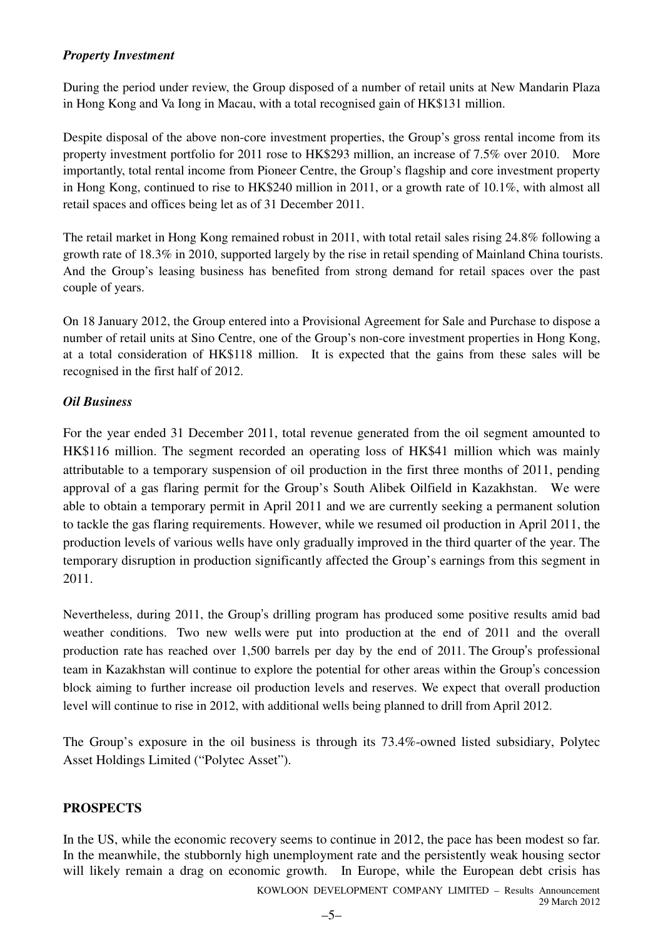# *Property Investment*

During the period under review, the Group disposed of a number of retail units at New Mandarin Plaza in Hong Kong and Va Iong in Macau, with a total recognised gain of HK\$131 million.

Despite disposal of the above non-core investment properties, the Group's gross rental income from its property investment portfolio for 2011 rose to HK\$293 million, an increase of 7.5% over 2010. More importantly, total rental income from Pioneer Centre, the Group's flagship and core investment property in Hong Kong, continued to rise to HK\$240 million in 2011, or a growth rate of 10.1%, with almost all retail spaces and offices being let as of 31 December 2011.

The retail market in Hong Kong remained robust in 2011, with total retail sales rising 24.8% following a growth rate of 18.3% in 2010, supported largely by the rise in retail spending of Mainland China tourists. And the Group's leasing business has benefited from strong demand for retail spaces over the past couple of years.

On 18 January 2012, the Group entered into a Provisional Agreement for Sale and Purchase to dispose a number of retail units at Sino Centre, one of the Group's non-core investment properties in Hong Kong, at a total consideration of HK\$118 million. It is expected that the gains from these sales will be recognised in the first half of 2012.

# *Oil Business*

For the year ended 31 December 2011, total revenue generated from the oil segment amounted to HK\$116 million. The segment recorded an operating loss of HK\$41 million which was mainly attributable to a temporary suspension of oil production in the first three months of 2011, pending approval of a gas flaring permit for the Group's South Alibek Oilfield in Kazakhstan. We were able to obtain a temporary permit in April 2011 and we are currently seeking a permanent solution to tackle the gas flaring requirements. However, while we resumed oil production in April 2011, the production levels of various wells have only gradually improved in the third quarter of the year. The temporary disruption in production significantly affected the Group's earnings from this segment in 2011.

Nevertheless, during 2011, the Group's drilling program has produced some positive results amid bad weather conditions. Two new wells were put into production at the end of 2011 and the overall production rate has reached over 1,500 barrels per day by the end of 2011. The Group's professional team in Kazakhstan will continue to explore the potential for other areas within the Group's concession block aiming to further increase oil production levels and reserves. We expect that overall production level will continue to rise in 2012, with additional wells being planned to drill from April 2012.

The Group's exposure in the oil business is through its 73.4%-owned listed subsidiary, Polytec Asset Holdings Limited ("Polytec Asset").

# **PROSPECTS**

KOWLOON DEVELOPMENT COMPANY LIMITED – Results Announcement In the US, while the economic recovery seems to continue in 2012, the pace has been modest so far. In the meanwhile, the stubbornly high unemployment rate and the persistently weak housing sector will likely remain a drag on economic growth. In Europe, while the European debt crisis has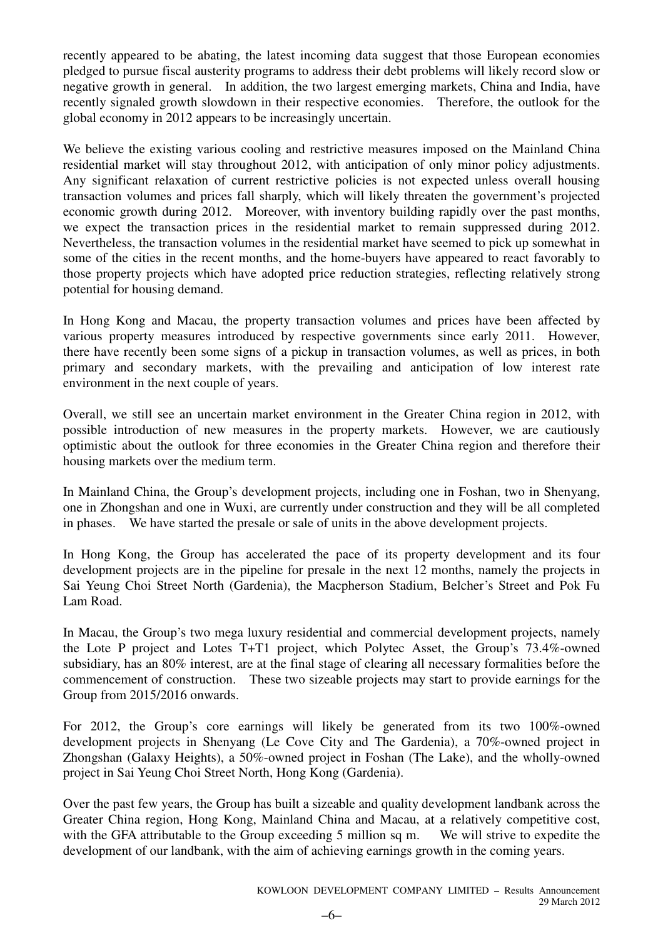recently appeared to be abating, the latest incoming data suggest that those European economies pledged to pursue fiscal austerity programs to address their debt problems will likely record slow or negative growth in general. In addition, the two largest emerging markets, China and India, have recently signaled growth slowdown in their respective economies. Therefore, the outlook for the global economy in 2012 appears to be increasingly uncertain.

We believe the existing various cooling and restrictive measures imposed on the Mainland China residential market will stay throughout 2012, with anticipation of only minor policy adjustments. Any significant relaxation of current restrictive policies is not expected unless overall housing transaction volumes and prices fall sharply, which will likely threaten the government's projected economic growth during 2012. Moreover, with inventory building rapidly over the past months, we expect the transaction prices in the residential market to remain suppressed during 2012. Nevertheless, the transaction volumes in the residential market have seemed to pick up somewhat in some of the cities in the recent months, and the home-buyers have appeared to react favorably to those property projects which have adopted price reduction strategies, reflecting relatively strong potential for housing demand.

In Hong Kong and Macau, the property transaction volumes and prices have been affected by various property measures introduced by respective governments since early 2011. However, there have recently been some signs of a pickup in transaction volumes, as well as prices, in both primary and secondary markets, with the prevailing and anticipation of low interest rate environment in the next couple of years.

Overall, we still see an uncertain market environment in the Greater China region in 2012, with possible introduction of new measures in the property markets. However, we are cautiously optimistic about the outlook for three economies in the Greater China region and therefore their housing markets over the medium term.

In Mainland China, the Group's development projects, including one in Foshan, two in Shenyang, one in Zhongshan and one in Wuxi, are currently under construction and they will be all completed in phases. We have started the presale or sale of units in the above development projects.

In Hong Kong, the Group has accelerated the pace of its property development and its four development projects are in the pipeline for presale in the next 12 months, namely the projects in Sai Yeung Choi Street North (Gardenia), the Macpherson Stadium, Belcher's Street and Pok Fu Lam Road.

In Macau, the Group's two mega luxury residential and commercial development projects, namely the Lote P project and Lotes T+T1 project, which Polytec Asset, the Group's 73.4%-owned subsidiary, has an 80% interest, are at the final stage of clearing all necessary formalities before the commencement of construction. These two sizeable projects may start to provide earnings for the Group from 2015/2016 onwards.

For 2012, the Group's core earnings will likely be generated from its two 100%-owned development projects in Shenyang (Le Cove City and The Gardenia), a 70%-owned project in Zhongshan (Galaxy Heights), a 50%-owned project in Foshan (The Lake), and the wholly-owned project in Sai Yeung Choi Street North, Hong Kong (Gardenia).

Over the past few years, the Group has built a sizeable and quality development landbank across the Greater China region, Hong Kong, Mainland China and Macau, at a relatively competitive cost, with the GFA attributable to the Group exceeding 5 million sq m. We will strive to expedite the development of our landbank, with the aim of achieving earnings growth in the coming years.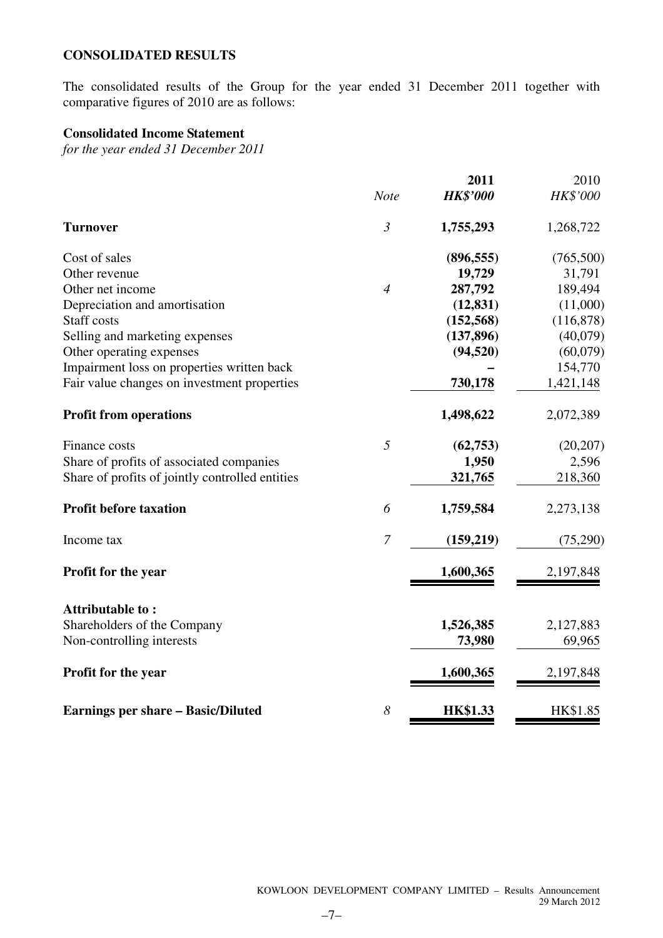# **CONSOLIDATED RESULTS**

The consolidated results of the Group for the year ended 31 December 2011 together with comparative figures of 2010 are as follows:

# **Consolidated Income Statement**

*for the year ended 31 December 2011* 

|                                                 |                | 2011            | 2010      |
|-------------------------------------------------|----------------|-----------------|-----------|
|                                                 | <b>Note</b>    | <b>HK\$'000</b> | HK\$'000  |
| <b>Turnover</b>                                 | $\mathfrak{Z}$ | 1,755,293       | 1,268,722 |
| Cost of sales                                   |                | (896, 555)      | (765,500) |
| Other revenue                                   |                | 19,729          | 31,791    |
| Other net income                                | $\overline{4}$ | 287,792         | 189,494   |
| Depreciation and amortisation                   |                | (12, 831)       | (11,000)  |
| <b>Staff</b> costs                              |                | (152, 568)      | (116,878) |
| Selling and marketing expenses                  |                | (137, 896)      | (40,079)  |
| Other operating expenses                        |                | (94, 520)       | (60,079)  |
| Impairment loss on properties written back      |                |                 | 154,770   |
| Fair value changes on investment properties     |                | 730,178         | 1,421,148 |
| <b>Profit from operations</b>                   |                | 1,498,622       | 2,072,389 |
| Finance costs                                   | 5              | (62,753)        | (20, 207) |
| Share of profits of associated companies        |                | 1,950           | 2,596     |
| Share of profits of jointly controlled entities |                | 321,765         | 218,360   |
| <b>Profit before taxation</b>                   | 6              | 1,759,584       | 2,273,138 |
| Income tax                                      | $\overline{7}$ | (159,219)       | (75,290)  |
| Profit for the year                             |                | 1,600,365       | 2,197,848 |
| Attributable to:                                |                |                 |           |
| Shareholders of the Company                     |                | 1,526,385       | 2,127,883 |
| Non-controlling interests                       |                | 73,980          | 69,965    |
| Profit for the year                             |                | 1,600,365       | 2,197,848 |
| <b>Earnings per share – Basic/Diluted</b>       | 8              | <b>HK\$1.33</b> | HK\$1.85  |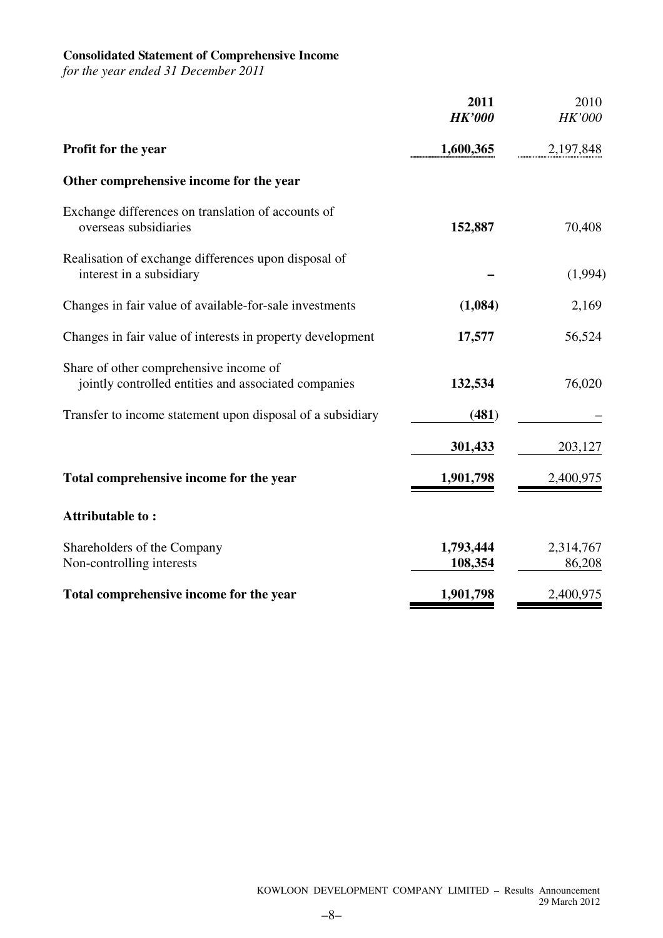### **Consolidated Statement of Comprehensive Income**

*for the year ended 31 December 2011* 

|                                                                                                | 2011<br><b>HK'000</b> | 2010<br>HK'000      |
|------------------------------------------------------------------------------------------------|-----------------------|---------------------|
| <b>Profit for the year</b>                                                                     | 1,600,365             | 2,197,848           |
| Other comprehensive income for the year                                                        |                       |                     |
| Exchange differences on translation of accounts of<br>overseas subsidiaries                    | 152,887               | 70,408              |
| Realisation of exchange differences upon disposal of<br>interest in a subsidiary               |                       | (1,994)             |
| Changes in fair value of available-for-sale investments                                        | (1,084)               | 2,169               |
| Changes in fair value of interests in property development                                     | 17,577                | 56,524              |
| Share of other comprehensive income of<br>jointly controlled entities and associated companies | 132,534               | 76,020              |
| Transfer to income statement upon disposal of a subsidiary                                     | (481)                 |                     |
|                                                                                                | 301,433               | 203,127             |
| Total comprehensive income for the year                                                        | 1,901,798             | 2,400,975           |
| <b>Attributable to:</b>                                                                        |                       |                     |
| Shareholders of the Company<br>Non-controlling interests                                       | 1,793,444<br>108,354  | 2,314,767<br>86,208 |
| Total comprehensive income for the year                                                        | 1,901,798             | 2,400,975           |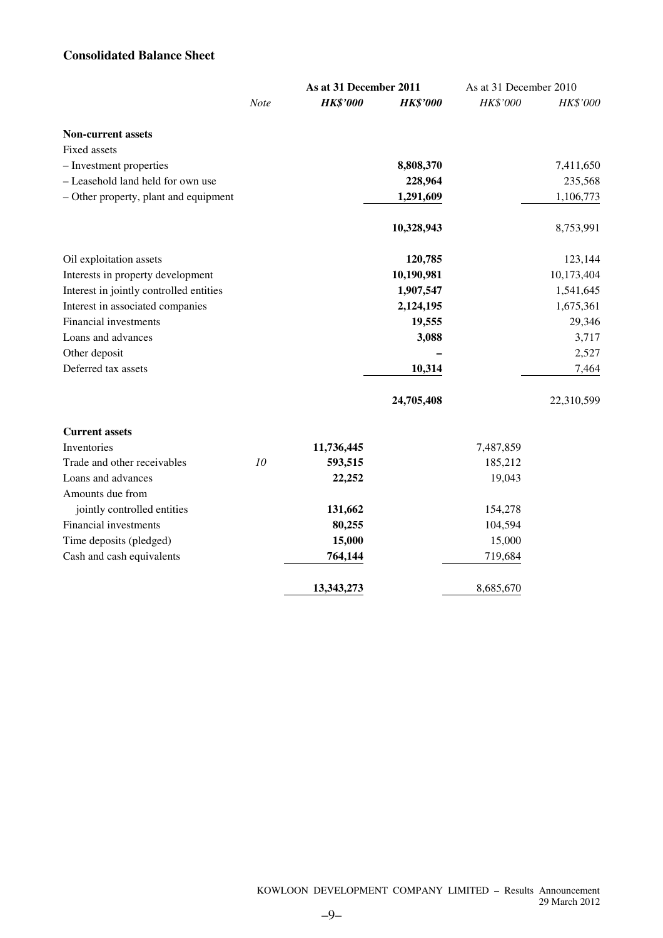# **Consolidated Balance Sheet**

|                                         |      | As at 31 December 2011 |                 |           | As at 31 December 2010 |  |
|-----------------------------------------|------|------------------------|-----------------|-----------|------------------------|--|
|                                         | Note | <b>HK\$'000</b>        | <b>HK\$'000</b> | HK\$'000  | HK\$'000               |  |
| <b>Non-current assets</b>               |      |                        |                 |           |                        |  |
| Fixed assets                            |      |                        |                 |           |                        |  |
| - Investment properties                 |      |                        | 8,808,370       |           | 7,411,650              |  |
| - Leasehold land held for own use       |      |                        | 228,964         |           | 235,568                |  |
| - Other property, plant and equipment   |      |                        | 1,291,609       |           | 1,106,773              |  |
|                                         |      |                        | 10,328,943      |           | 8,753,991              |  |
| Oil exploitation assets                 |      |                        | 120,785         |           | 123,144                |  |
| Interests in property development       |      |                        | 10,190,981      |           | 10,173,404             |  |
| Interest in jointly controlled entities |      |                        | 1,907,547       |           | 1,541,645              |  |
| Interest in associated companies        |      |                        | 2,124,195       |           | 1,675,361              |  |
| <b>Financial investments</b>            |      |                        | 19,555          |           | 29,346                 |  |
| Loans and advances                      |      |                        | 3,088           |           | 3,717                  |  |
| Other deposit                           |      |                        |                 |           | 2,527                  |  |
| Deferred tax assets                     |      |                        | 10,314          |           | 7,464                  |  |
|                                         |      |                        | 24,705,408      |           | 22,310,599             |  |
| <b>Current assets</b>                   |      |                        |                 |           |                        |  |
| Inventories                             |      | 11,736,445             |                 | 7,487,859 |                        |  |
| Trade and other receivables             | 10   | 593,515                |                 | 185,212   |                        |  |
| Loans and advances                      |      | 22,252                 |                 | 19,043    |                        |  |
| Amounts due from                        |      |                        |                 |           |                        |  |
| jointly controlled entities             |      | 131,662                |                 | 154,278   |                        |  |
| <b>Financial investments</b>            |      | 80,255                 |                 | 104,594   |                        |  |
| Time deposits (pledged)                 |      | 15,000                 |                 | 15,000    |                        |  |
| Cash and cash equivalents               |      | 764,144                |                 | 719,684   |                        |  |
|                                         |      | 13,343,273             |                 | 8,685,670 |                        |  |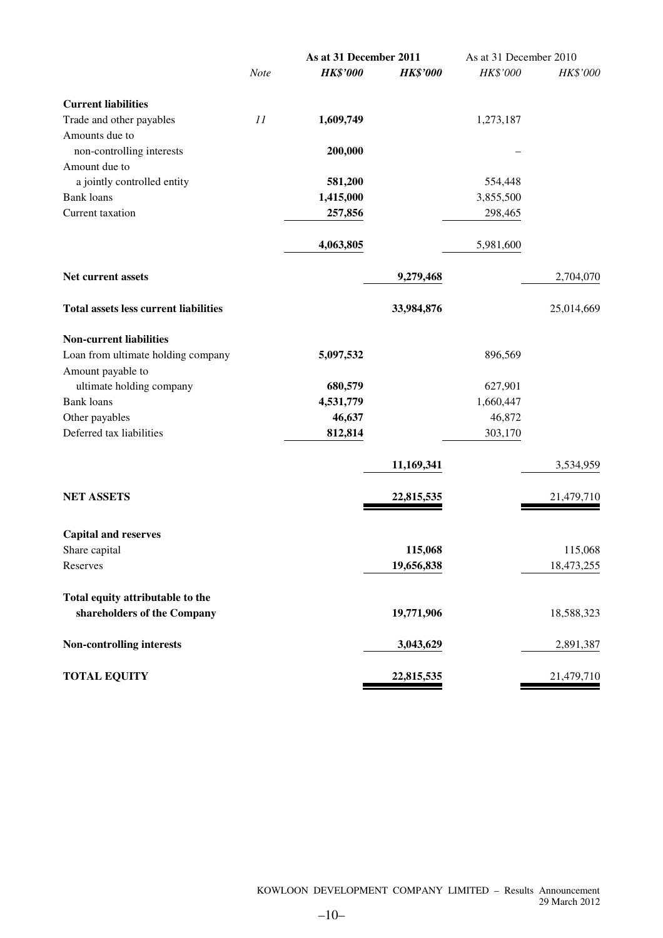|                                              |      | As at 31 December 2011 |                 | As at 31 December 2010 |            |
|----------------------------------------------|------|------------------------|-----------------|------------------------|------------|
|                                              | Note | <b>HK\$'000</b>        | <b>HK\$'000</b> | HK\$'000               | HK\$'000   |
| <b>Current liabilities</b>                   |      |                        |                 |                        |            |
| Trade and other payables                     | 11   | 1,609,749              |                 | 1,273,187              |            |
| Amounts due to                               |      |                        |                 |                        |            |
| non-controlling interests                    |      | 200,000                |                 |                        |            |
| Amount due to                                |      |                        |                 |                        |            |
| a jointly controlled entity                  |      | 581,200                |                 | 554,448                |            |
| <b>Bank</b> loans                            |      | 1,415,000              |                 | 3,855,500              |            |
| Current taxation                             |      | 257,856                |                 | 298,465                |            |
|                                              |      | 4,063,805              |                 | 5,981,600              |            |
| Net current assets                           |      |                        | 9,279,468       |                        | 2,704,070  |
| <b>Total assets less current liabilities</b> |      |                        | 33,984,876      |                        | 25,014,669 |
| <b>Non-current liabilities</b>               |      |                        |                 |                        |            |
| Loan from ultimate holding company           |      | 5,097,532              |                 | 896,569                |            |
| Amount payable to                            |      |                        |                 |                        |            |
| ultimate holding company                     |      | 680,579                |                 | 627,901                |            |
| <b>Bank</b> loans                            |      | 4,531,779              |                 | 1,660,447              |            |
| Other payables                               |      | 46,637                 |                 | 46,872                 |            |
| Deferred tax liabilities                     |      | 812,814                |                 | 303,170                |            |
|                                              |      |                        | 11,169,341      |                        | 3,534,959  |
| <b>NET ASSETS</b>                            |      |                        | 22,815,535      |                        | 21,479,710 |
| <b>Capital and reserves</b>                  |      |                        |                 |                        |            |
| Share capital                                |      |                        | 115,068         |                        | 115,068    |
| Reserves                                     |      |                        | 19,656,838      |                        | 18,473,255 |
| Total equity attributable to the             |      |                        |                 |                        |            |
| shareholders of the Company                  |      |                        | 19,771,906      |                        | 18,588,323 |
| Non-controlling interests                    |      |                        | 3,043,629       |                        | 2,891,387  |
| <b>TOTAL EQUITY</b>                          |      |                        | 22,815,535      |                        | 21,479,710 |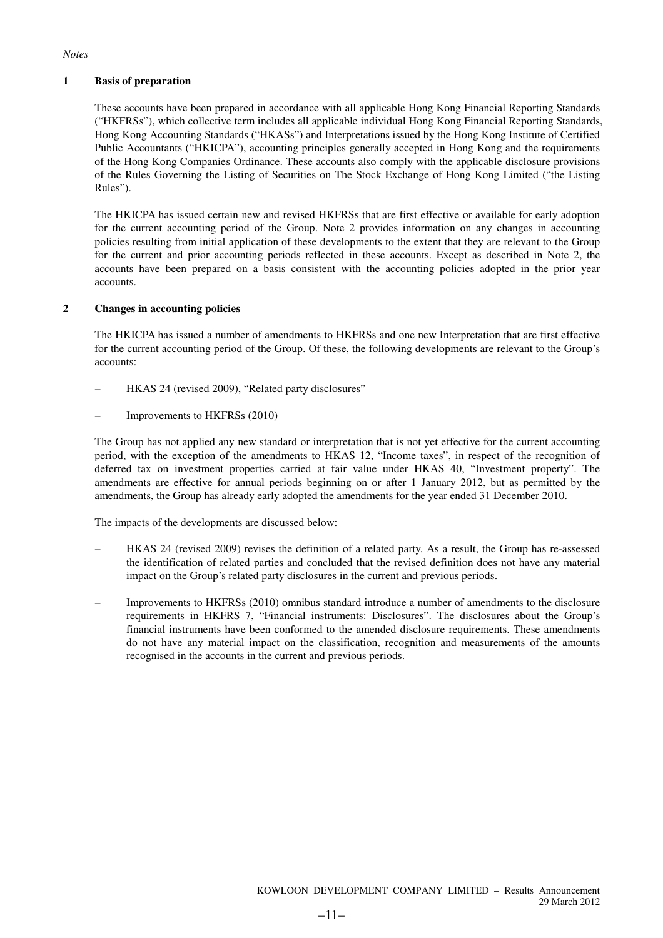### *Notes*

### **1 Basis of preparation**

These accounts have been prepared in accordance with all applicable Hong Kong Financial Reporting Standards ("HKFRSs"), which collective term includes all applicable individual Hong Kong Financial Reporting Standards, Hong Kong Accounting Standards ("HKASs") and Interpretations issued by the Hong Kong Institute of Certified Public Accountants ("HKICPA"), accounting principles generally accepted in Hong Kong and the requirements of the Hong Kong Companies Ordinance. These accounts also comply with the applicable disclosure provisions of the Rules Governing the Listing of Securities on The Stock Exchange of Hong Kong Limited ("the Listing Rules").

The HKICPA has issued certain new and revised HKFRSs that are first effective or available for early adoption for the current accounting period of the Group. Note 2 provides information on any changes in accounting policies resulting from initial application of these developments to the extent that they are relevant to the Group for the current and prior accounting periods reflected in these accounts. Except as described in Note 2, the accounts have been prepared on a basis consistent with the accounting policies adopted in the prior year accounts.

### **2 Changes in accounting policies**

The HKICPA has issued a number of amendments to HKFRSs and one new Interpretation that are first effective for the current accounting period of the Group. Of these, the following developments are relevant to the Group's accounts:

- HKAS 24 (revised 2009), "Related party disclosures"
- Improvements to HKFRSs (2010)

The Group has not applied any new standard or interpretation that is not yet effective for the current accounting period, with the exception of the amendments to HKAS 12, "Income taxes", in respect of the recognition of deferred tax on investment properties carried at fair value under HKAS 40, "Investment property". The amendments are effective for annual periods beginning on or after 1 January 2012, but as permitted by the amendments, the Group has already early adopted the amendments for the year ended 31 December 2010.

The impacts of the developments are discussed below:

- HKAS 24 (revised 2009) revises the definition of a related party. As a result, the Group has re-assessed the identification of related parties and concluded that the revised definition does not have any material impact on the Group's related party disclosures in the current and previous periods.
- Improvements to HKFRSs (2010) omnibus standard introduce a number of amendments to the disclosure requirements in HKFRS 7, "Financial instruments: Disclosures". The disclosures about the Group's financial instruments have been conformed to the amended disclosure requirements. These amendments do not have any material impact on the classification, recognition and measurements of the amounts recognised in the accounts in the current and previous periods.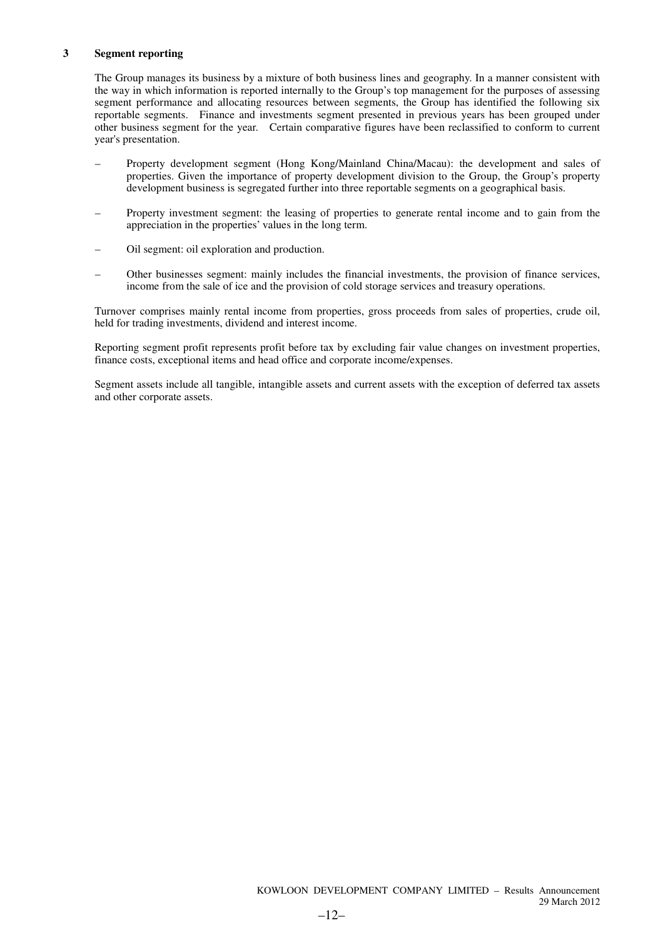### **3 Segment reporting**

The Group manages its business by a mixture of both business lines and geography. In a manner consistent with the way in which information is reported internally to the Group's top management for the purposes of assessing segment performance and allocating resources between segments, the Group has identified the following six reportable segments. Finance and investments segment presented in previous years has been grouped under other business segment for the year. Certain comparative figures have been reclassified to conform to current year's presentation.

- Property development segment (Hong Kong/Mainland China/Macau): the development and sales of properties. Given the importance of property development division to the Group, the Group's property development business is segregated further into three reportable segments on a geographical basis.
- Property investment segment: the leasing of properties to generate rental income and to gain from the appreciation in the properties' values in the long term.
- Oil segment: oil exploration and production.
- Other businesses segment: mainly includes the financial investments, the provision of finance services, income from the sale of ice and the provision of cold storage services and treasury operations.

Turnover comprises mainly rental income from properties, gross proceeds from sales of properties, crude oil, held for trading investments, dividend and interest income.

Reporting segment profit represents profit before tax by excluding fair value changes on investment properties, finance costs, exceptional items and head office and corporate income/expenses.

Segment assets include all tangible, intangible assets and current assets with the exception of deferred tax assets and other corporate assets.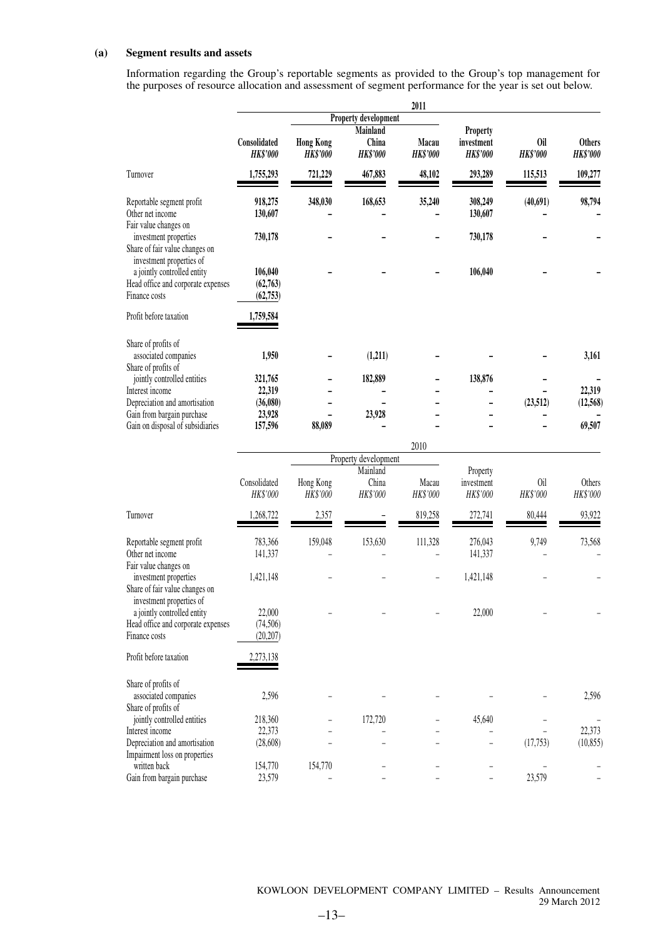### **(a) Segment results and assets**

Information regarding the Group's reportable segments as provided to the Group's top management for the purposes of resource allocation and assessment of segment performance for the year is set out below.

|                                                                                     |                                  |                                     |                                      | 2011                     |                                           |                        |                                  |
|-------------------------------------------------------------------------------------|----------------------------------|-------------------------------------|--------------------------------------|--------------------------|-------------------------------------------|------------------------|----------------------------------|
|                                                                                     |                                  |                                     | Property development                 |                          |                                           |                        |                                  |
|                                                                                     | Consolidated<br><b>HK\$'000</b>  | <b>Hong Kong</b><br><b>HK\$'000</b> | Mainland<br>China<br><b>HK\$'000</b> | Macau<br><b>HK\$'000</b> | Property<br>investment<br><b>HK\$'000</b> | 0il<br><b>HK\$'000</b> | <b>Others</b><br><b>HK\$'000</b> |
| Turnover                                                                            | 1,755,293                        | 721,229                             | 467,883                              | 48,102                   | 293,289                                   | 115,513                | 109,277                          |
| Reportable segment profit<br>Other net income<br>Fair value changes on              | 918,275<br>130,607               | 348,030                             | 168,653                              | 35,240                   | 308,249<br>130,607                        | (40,691)               | 98,794                           |
| investment properties<br>Share of fair value changes on<br>investment properties of | 730,178                          |                                     |                                      |                          | 730,178                                   |                        |                                  |
| a jointly controlled entity<br>Head office and corporate expenses<br>Finance costs  | 106,040<br>(62,763)<br>(62, 753) |                                     |                                      |                          | 106,040                                   |                        |                                  |
| Profit before taxation                                                              | 1,759,584                        |                                     |                                      |                          |                                           |                        |                                  |
| Share of profits of<br>associated companies<br>Share of profits of                  | 1,950                            |                                     | (1,211)                              |                          |                                           |                        | 3,161                            |
| jointly controlled entities                                                         | 321,765                          |                                     | 182,889                              |                          | 138,876                                   |                        |                                  |
| Interest income                                                                     | 22,319                           |                                     |                                      |                          |                                           |                        | 22,319                           |
| Depreciation and amortisation                                                       | (36,080)                         |                                     |                                      |                          |                                           | (23,512)               | (12, 568)                        |
| Gain from bargain purchase                                                          | 23,928                           |                                     | 23,928                               |                          |                                           |                        |                                  |
| Gain on disposal of subsidiaries                                                    | 157,596                          | 88,089                              |                                      |                          |                                           |                        | 69,507                           |

|                                                            |                          |                       |                      | 2010              |                        |                 |                           |
|------------------------------------------------------------|--------------------------|-----------------------|----------------------|-------------------|------------------------|-----------------|---------------------------|
|                                                            |                          |                       | Property development |                   |                        |                 |                           |
|                                                            |                          |                       | Mainland             |                   | Property               |                 |                           |
|                                                            | Consolidated<br>HK\$'000 | Hong Kong<br>HK\$'000 | China<br>HK\$'000    | Macau<br>HK\$'000 | investment<br>HK\$'000 | Oil<br>HK\$'000 | <b>Others</b><br>HK\$'000 |
| Turnover                                                   | 1,268,722                | 2,357                 |                      | 819,258           | 272,741                | 80,444          | 93,922                    |
| Reportable segment profit                                  | 783,366                  | 159,048               | 153,630              | 111,328           | 276,043                | 9,749           | 73,568                    |
| Other net income<br>Fair value changes on                  | 141,337                  |                       |                      |                   | 141,337                |                 |                           |
| investment properties                                      | 1,421,148                |                       |                      |                   | 1,421,148              |                 |                           |
| Share of fair value changes on<br>investment properties of |                          |                       |                      |                   |                        |                 |                           |
| a jointly controlled entity                                | 22,000                   |                       |                      |                   | 22,000                 |                 |                           |
| Head office and corporate expenses                         | (74, 506)                |                       |                      |                   |                        |                 |                           |
| Finance costs                                              | (20, 207)                |                       |                      |                   |                        |                 |                           |
| Profit before taxation                                     | 2,273,138                |                       |                      |                   |                        |                 |                           |
| Share of profits of                                        |                          |                       |                      |                   |                        |                 |                           |
| associated companies                                       | 2,596                    |                       |                      |                   |                        |                 | 2,596                     |
| Share of profits of                                        |                          |                       |                      |                   |                        |                 |                           |
| jointly controlled entities                                | 218,360                  |                       | 172,720              |                   | 45,640                 |                 |                           |
| Interest income                                            | 22,373                   |                       |                      |                   |                        |                 | 22,373                    |
| Depreciation and amortisation                              | (28,608)                 |                       |                      |                   |                        | (17,753)        | (10, 855)                 |
| Impairment loss on properties                              |                          |                       |                      |                   |                        |                 |                           |
| written back                                               | 154,770                  | 154,770               |                      |                   |                        |                 |                           |
| Gain from bargain purchase                                 | 23,579                   |                       |                      |                   |                        | 23,579          |                           |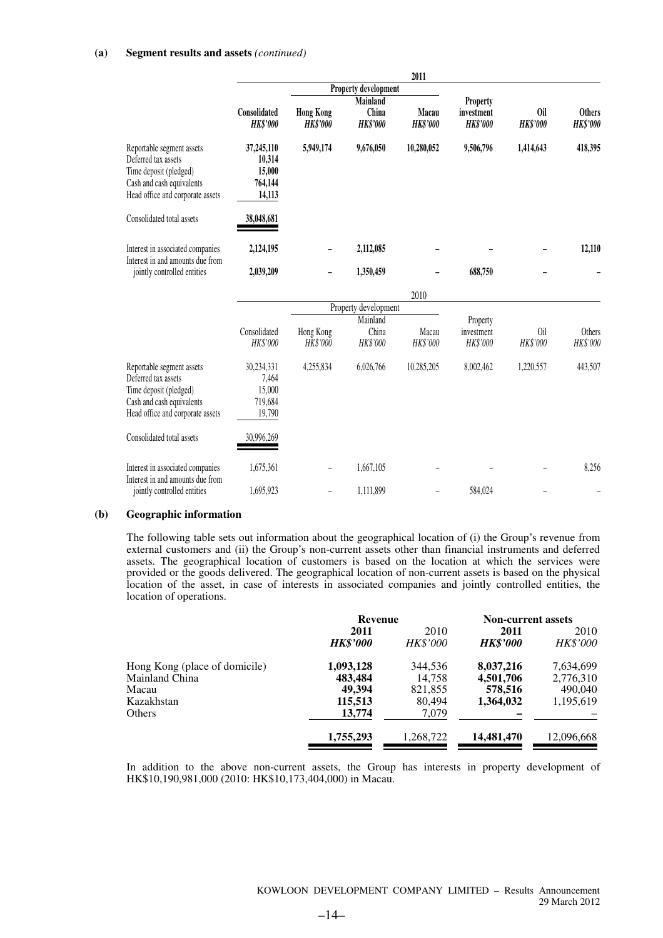### **(a) Segment results and assets** *(continued)*

|                                                                                                                                             |                                                     |                                     |                                             | 2011                     |                                                  |                        |                                  |
|---------------------------------------------------------------------------------------------------------------------------------------------|-----------------------------------------------------|-------------------------------------|---------------------------------------------|--------------------------|--------------------------------------------------|------------------------|----------------------------------|
|                                                                                                                                             |                                                     |                                     | Property development                        |                          |                                                  |                        |                                  |
|                                                                                                                                             | Consolidated<br><b>HK\$'000</b>                     | <b>Hong Kong</b><br><b>HK\$'000</b> | <b>Mainland</b><br>China<br><b>HK\$'000</b> | Macau<br><b>HK\$'000</b> | <b>Property</b><br>investment<br><b>HK\$'000</b> | 0il<br><b>HK\$'000</b> | <b>Others</b><br><b>HK\$'000</b> |
| Reportable segment assets<br>Deferred tax assets<br>Time deposit (pledged)<br>Cash and cash equivalents<br>Head office and corporate assets | 37,245,110<br>10,314<br>15,000<br>764,144<br>14,113 | 5,949,174                           | 9,676,050                                   | 10,280,052               | 9,506,796                                        | 1,414,643              | 418,395                          |
| Consolidated total assets                                                                                                                   | 38,048,681                                          |                                     |                                             |                          |                                                  |                        |                                  |
| Interest in associated companies<br>Interest in and amounts due from                                                                        | 2,124,195                                           |                                     | 2,112,085                                   |                          |                                                  |                        | 12,110                           |
| jointly controlled entities                                                                                                                 | 2,039,209                                           |                                     | 1,350,459                                   |                          | 688,750                                          |                        |                                  |
|                                                                                                                                             |                                                     |                                     |                                             | 2010                     |                                                  |                        |                                  |
|                                                                                                                                             |                                                     |                                     | Property development                        |                          |                                                  |                        |                                  |
|                                                                                                                                             |                                                     |                                     | Mainland                                    |                          | Property                                         |                        |                                  |
|                                                                                                                                             | Consolidated<br>HK\$'000                            | Hong Kong<br>HK\$'000               | China<br>HK\$'000                           | Macau<br><b>HK\$'000</b> | investment<br>HK\$'000                           | 0il<br>HK\$'000        | Others<br>HK\$'000               |
| Reportable segment assets<br>Deferred tax assets<br>Time deposit (pledged)<br>Cash and cash equivalents<br>Head office and corporate assets | 30,234,331<br>7,464<br>15,000<br>719,684<br>19,790  | 4,255,834                           | 6,026,766                                   | 10,285,205               | 8,002,462                                        | 1,220,557              | 443,507                          |
| Consolidated total assets                                                                                                                   | 30,996,269                                          |                                     |                                             |                          |                                                  |                        |                                  |
| Interest in associated companies<br>Interest in and amounts due from                                                                        | 1,675,361                                           |                                     | 1,667,105                                   |                          |                                                  |                        | 8,256                            |
| jointly controlled entities                                                                                                                 | 1,695,923                                           |                                     | 1,111,899                                   |                          | 584,024                                          |                        |                                  |

### **(b) Geographic information**

The following table sets out information about the geographical location of (i) the Group's revenue from external customers and (ii) the Group's non-current assets other than financial instruments and deferred assets. The geographical location of customers is based on the location at which the services were provided or the goods delivered. The geographical location of non-current assets is based on the physical location of the asset, in case of interests in associated companies and jointly controlled entities, the location of operations.

|                               | Revenue         |                 | <b>Non-current assets</b> |                 |
|-------------------------------|-----------------|-----------------|---------------------------|-----------------|
|                               | 2011            | 2010            | 2011                      |                 |
|                               | <b>HK\$'000</b> | <b>HK\$'000</b> | <b>HK\$'000</b>           | <b>HK\$'000</b> |
| Hong Kong (place of domicile) | 1,093,128       | 344,536         | 8,037,216                 | 7,634,699       |
| Mainland China                | 483,484         | 14,758          | 4,501,706                 | 2,776,310       |
| Macau                         | 49,394          | 821,855         | 578,516                   | 490,040         |
| Kazakhstan                    | 115,513         | 80,494          | 1,364,032                 | 1,195,619       |
| Others                        | 13,774          | 7,079           |                           |                 |
|                               | 1,755,293       | 1,268,722       | 14,481,470                | 12,096,668      |

In addition to the above non-current assets, the Group has interests in property development of HK\$10,190,981,000 (2010: HK\$10,173,404,000) in Macau.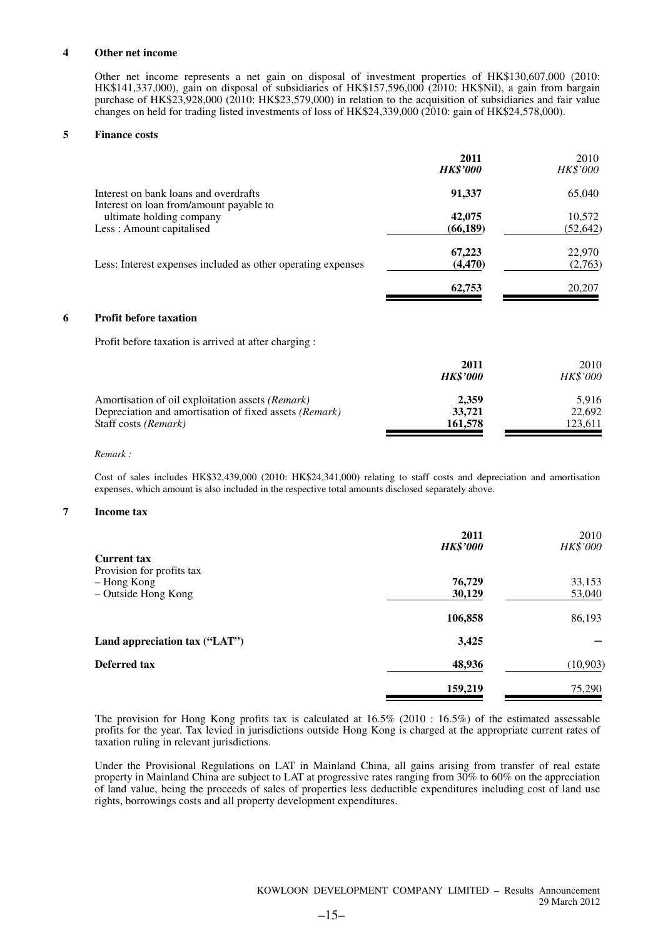### **4 Other net income**

Other net income represents a net gain on disposal of investment properties of HK\$130,607,000 (2010: HK\$141,337,000), gain on disposal of subsidiaries of HK\$157,596,000 (2010: HK\$Nil), a gain from bargain purchase of HK\$23,928,000 (2010: HK\$23,579,000) in relation to the acquisition of subsidiaries and fair value changes on held for trading listed investments of loss of HK\$24,339,000 (2010: gain of HK\$24,578,000).

#### **5 Finance costs**

|   |                                                                                  | 2011<br><b>HK\$'000</b> | 2010<br>HK\$'000 |
|---|----------------------------------------------------------------------------------|-------------------------|------------------|
|   | Interest on bank loans and overdrafts<br>Interest on loan from/amount payable to | 91,337                  | 65,040           |
|   | ultimate holding company                                                         | 42,075                  | 10,572           |
|   | Less: Amount capitalised                                                         | (66, 189)               | (52, 642)        |
|   |                                                                                  | 67,223                  | 22,970           |
|   | Less: Interest expenses included as other operating expenses                     | (4, 470)                | (2,763)          |
|   |                                                                                  | 62,753                  | 20,207           |
| 6 | <b>Profit before taxation</b>                                                    |                         |                  |

Profit before taxation is arrived at after charging :

|                                                        | 2011<br><b>HK\$'000</b> | 2010<br><i>HK\$'000</i> |
|--------------------------------------------------------|-------------------------|-------------------------|
| Amortisation of oil exploitation assets (Remark)       | 2.359                   | 5.916                   |
| Depreciation and amortisation of fixed assets (Remark) | 33,721                  | 22,692                  |
| Staff costs <i>(Remark)</i>                            | 161,578                 | 123.611                 |

#### *Remark :*

Cost of sales includes HK\$32,439,000 (2010: HK\$24,341,000) relating to staff costs and depreciation and amortisation expenses, which amount is also included in the respective total amounts disclosed separately above.

### **7 Income tax**

|                               | 2011<br><b>HK\$'000</b> | 2010<br><i>HK\$'000</i> |
|-------------------------------|-------------------------|-------------------------|
| <b>Current tax</b>            |                         |                         |
| Provision for profits tax     |                         |                         |
| - Hong Kong                   | 76,729                  | 33,153                  |
| - Outside Hong Kong           | 30,129                  | 53,040                  |
|                               | 106,858                 | 86,193                  |
| Land appreciation tax ("LAT") | 3,425                   |                         |
| Deferred tax                  | 48,936                  | (10, 903)               |
|                               | 159,219                 | 75,290                  |

The provision for Hong Kong profits tax is calculated at 16.5% (2010 : 16.5%) of the estimated assessable profits for the year. Tax levied in jurisdictions outside Hong Kong is charged at the appropriate current rates of taxation ruling in relevant jurisdictions.

Under the Provisional Regulations on LAT in Mainland China, all gains arising from transfer of real estate property in Mainland China are subject to LAT at progressive rates ranging from 30% to 60% on the appreciation of land value, being the proceeds of sales of properties less deductible expenditures including cost of land use rights, borrowings costs and all property development expenditures.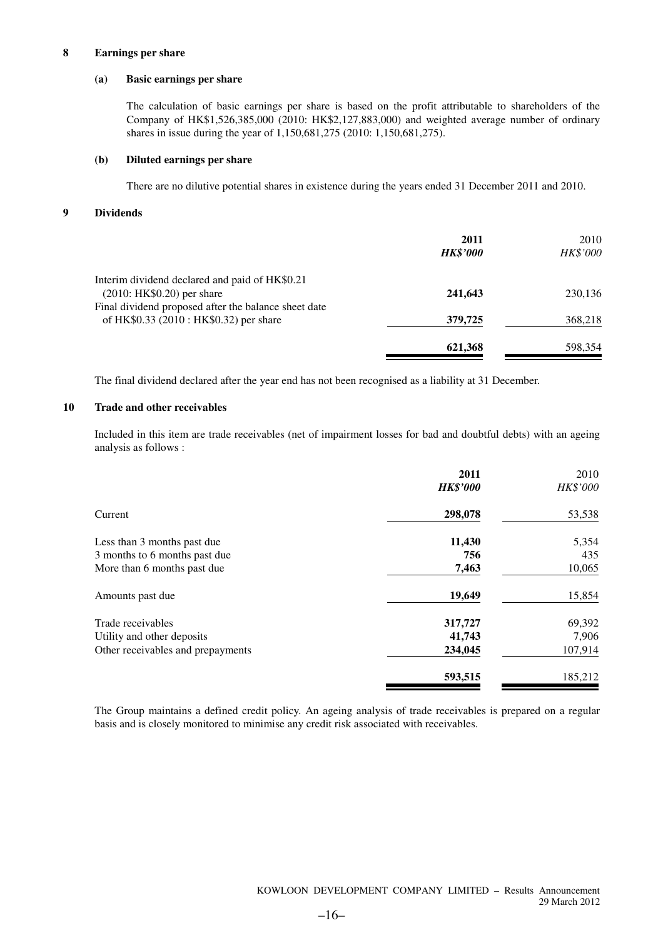### **8 Earnings per share**

### **(a) Basic earnings per share**

The calculation of basic earnings per share is based on the profit attributable to shareholders of the Company of HK\$1,526,385,000 (2010: HK\$2,127,883,000) and weighted average number of ordinary shares in issue during the year of 1,150,681,275 (2010: 1,150,681,275).

### **(b) Diluted earnings per share**

There are no dilutive potential shares in existence during the years ended 31 December 2011 and 2010.

### **9 Dividends**

|                                                      | 2011<br><b>HK\$'000</b> | 2010<br>HK\$'000 |
|------------------------------------------------------|-------------------------|------------------|
| Interim dividend declared and paid of HK\$0.21       |                         |                  |
| $(2010: HK$0.20)$ per share                          | 241,643                 | 230,136          |
| Final dividend proposed after the balance sheet date |                         |                  |
| of HK\$0.33 (2010 : HK\$0.32) per share              | 379,725                 | 368,218          |
|                                                      | 621,368                 | 598,354          |
|                                                      |                         |                  |

The final dividend declared after the year end has not been recognised as a liability at 31 December.

### **10 Trade and other receivables**

Included in this item are trade receivables (net of impairment losses for bad and doubtful debts) with an ageing analysis as follows :

|                                   | 2011<br><b>HK\$'000</b> | 2010<br>HK\$'000 |
|-----------------------------------|-------------------------|------------------|
| Current                           | 298,078                 | 53,538           |
| Less than 3 months past due       | 11,430                  | 5,354            |
| 3 months to 6 months past due     | 756                     | 435              |
| More than 6 months past due       | 7,463                   | 10,065           |
| Amounts past due                  | 19,649                  | 15,854           |
| Trade receivables                 | 317,727                 | 69,392           |
| Utility and other deposits        | 41,743                  | 7,906            |
| Other receivables and prepayments | 234,045                 | 107,914          |
|                                   | 593,515                 | 185,212          |

The Group maintains a defined credit policy. An ageing analysis of trade receivables is prepared on a regular basis and is closely monitored to minimise any credit risk associated with receivables.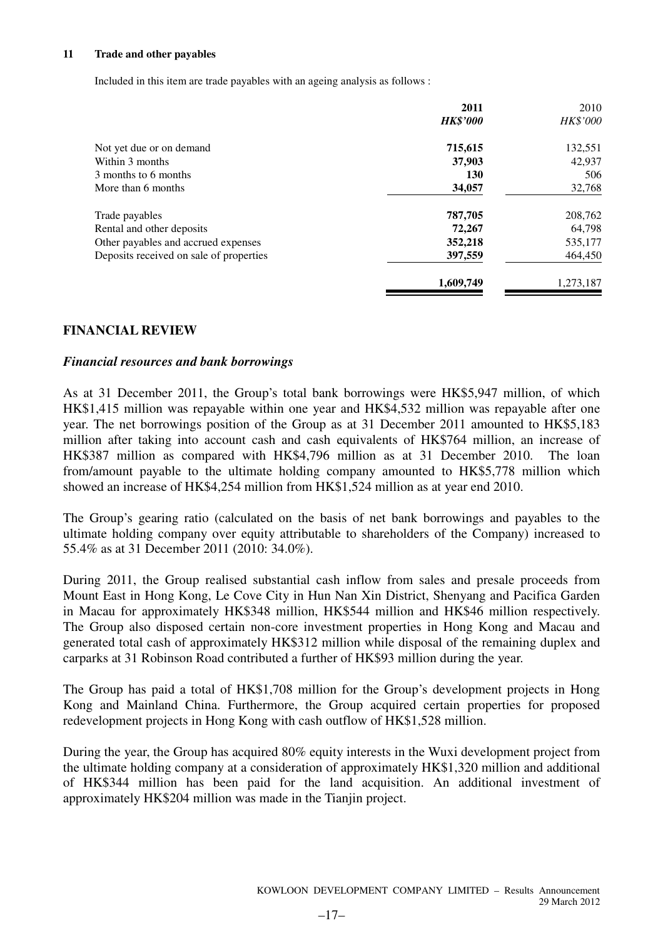### **11 Trade and other payables**

Included in this item are trade payables with an ageing analysis as follows :

| 2011            | 2010      |
|-----------------|-----------|
| <b>HK\$'000</b> | HK\$'000  |
| 715,615         | 132,551   |
| 37,903          | 42.937    |
| <b>130</b>      | 506       |
| 34,057          | 32,768    |
| 787,705         | 208,762   |
| 72,267          | 64,798    |
| 352,218         | 535,177   |
| 397,559         | 464,450   |
| 1,609,749       | 1,273,187 |
|                 |           |

### **FINANCIAL REVIEW**

### *Financial resources and bank borrowings*

As at 31 December 2011, the Group's total bank borrowings were HK\$5,947 million, of which HK\$1,415 million was repayable within one year and HK\$4,532 million was repayable after one year. The net borrowings position of the Group as at 31 December 2011 amounted to HK\$5,183 million after taking into account cash and cash equivalents of HK\$764 million, an increase of HK\$387 million as compared with HK\$4,796 million as at 31 December 2010. The loan from/amount payable to the ultimate holding company amounted to HK\$5,778 million which showed an increase of HK\$4,254 million from HK\$1,524 million as at year end 2010.

The Group's gearing ratio (calculated on the basis of net bank borrowings and payables to the ultimate holding company over equity attributable to shareholders of the Company) increased to 55.4% as at 31 December 2011 (2010: 34.0%).

During 2011, the Group realised substantial cash inflow from sales and presale proceeds from Mount East in Hong Kong, Le Cove City in Hun Nan Xin District, Shenyang and Pacifica Garden in Macau for approximately HK\$348 million, HK\$544 million and HK\$46 million respectively. The Group also disposed certain non-core investment properties in Hong Kong and Macau and generated total cash of approximately HK\$312 million while disposal of the remaining duplex and carparks at 31 Robinson Road contributed a further of HK\$93 million during the year.

The Group has paid a total of HK\$1,708 million for the Group's development projects in Hong Kong and Mainland China. Furthermore, the Group acquired certain properties for proposed redevelopment projects in Hong Kong with cash outflow of HK\$1,528 million.

During the year, the Group has acquired 80% equity interests in the Wuxi development project from the ultimate holding company at a consideration of approximately HK\$1,320 million and additional of HK\$344 million has been paid for the land acquisition. An additional investment of approximately HK\$204 million was made in the Tianjin project.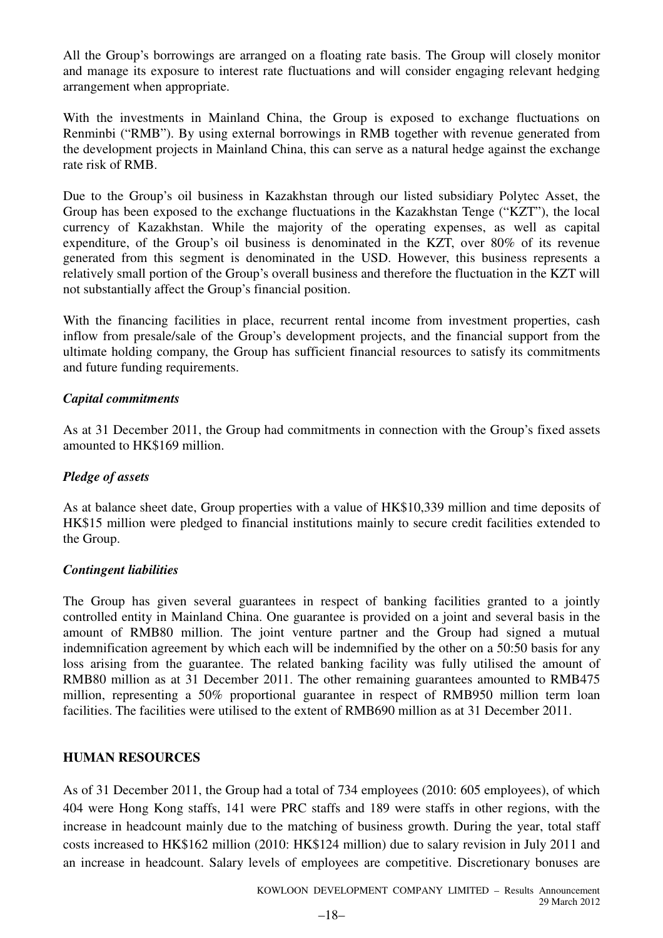All the Group's borrowings are arranged on a floating rate basis. The Group will closely monitor and manage its exposure to interest rate fluctuations and will consider engaging relevant hedging arrangement when appropriate.

With the investments in Mainland China, the Group is exposed to exchange fluctuations on Renminbi ("RMB"). By using external borrowings in RMB together with revenue generated from the development projects in Mainland China, this can serve as a natural hedge against the exchange rate risk of RMB.

Due to the Group's oil business in Kazakhstan through our listed subsidiary Polytec Asset, the Group has been exposed to the exchange fluctuations in the Kazakhstan Tenge ("KZT"), the local currency of Kazakhstan. While the majority of the operating expenses, as well as capital expenditure, of the Group's oil business is denominated in the KZT, over 80% of its revenue generated from this segment is denominated in the USD. However, this business represents a relatively small portion of the Group's overall business and therefore the fluctuation in the KZT will not substantially affect the Group's financial position.

With the financing facilities in place, recurrent rental income from investment properties, cash inflow from presale/sale of the Group's development projects, and the financial support from the ultimate holding company, the Group has sufficient financial resources to satisfy its commitments and future funding requirements.

# *Capital commitments*

As at 31 December 2011, the Group had commitments in connection with the Group's fixed assets amounted to HK\$169 million.

# *Pledge of assets*

As at balance sheet date, Group properties with a value of HK\$10,339 million and time deposits of HK\$15 million were pledged to financial institutions mainly to secure credit facilities extended to the Group.

### *Contingent liabilities*

The Group has given several guarantees in respect of banking facilities granted to a jointly controlled entity in Mainland China. One guarantee is provided on a joint and several basis in the amount of RMB80 million. The joint venture partner and the Group had signed a mutual indemnification agreement by which each will be indemnified by the other on a 50:50 basis for any loss arising from the guarantee. The related banking facility was fully utilised the amount of RMB80 million as at 31 December 2011. The other remaining guarantees amounted to RMB475 million, representing a 50% proportional guarantee in respect of RMB950 million term loan facilities. The facilities were utilised to the extent of RMB690 million as at 31 December 2011.

### **HUMAN RESOURCES**

As of 31 December 2011, the Group had a total of 734 employees (2010: 605 employees), of which 404 were Hong Kong staffs, 141 were PRC staffs and 189 were staffs in other regions, with the increase in headcount mainly due to the matching of business growth. During the year, total staff costs increased to HK\$162 million (2010: HK\$124 million) due to salary revision in July 2011 and an increase in headcount. Salary levels of employees are competitive. Discretionary bonuses are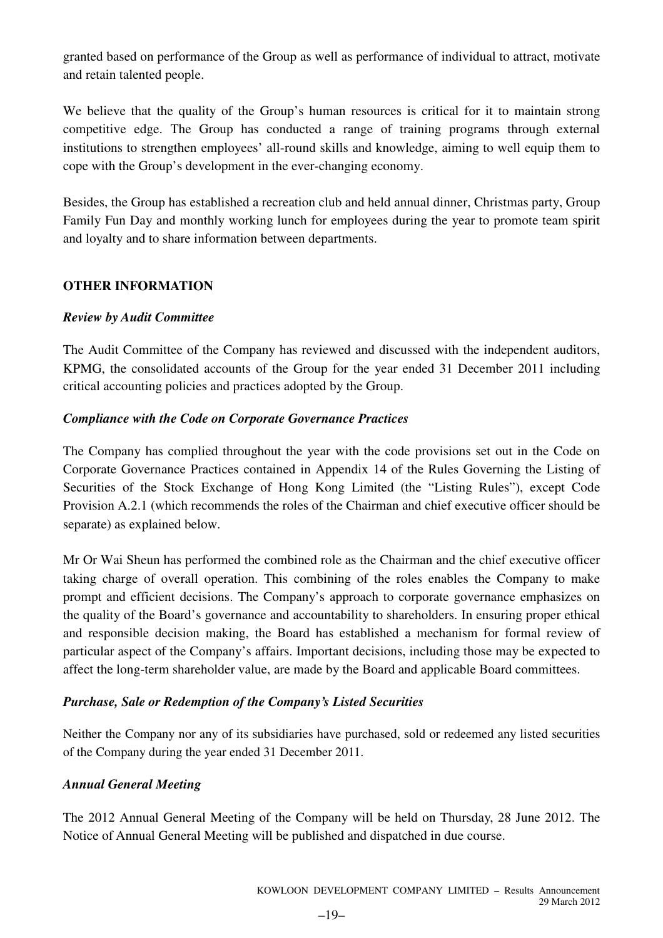granted based on performance of the Group as well as performance of individual to attract, motivate and retain talented people.

We believe that the quality of the Group's human resources is critical for it to maintain strong competitive edge. The Group has conducted a range of training programs through external institutions to strengthen employees' all-round skills and knowledge, aiming to well equip them to cope with the Group's development in the ever-changing economy.

Besides, the Group has established a recreation club and held annual dinner, Christmas party, Group Family Fun Day and monthly working lunch for employees during the year to promote team spirit and loyalty and to share information between departments.

# **OTHER INFORMATION**

# *Review by Audit Committee*

The Audit Committee of the Company has reviewed and discussed with the independent auditors, KPMG, the consolidated accounts of the Group for the year ended 31 December 2011 including critical accounting policies and practices adopted by the Group.

# *Compliance with the Code on Corporate Governance Practices*

The Company has complied throughout the year with the code provisions set out in the Code on Corporate Governance Practices contained in Appendix 14 of the Rules Governing the Listing of Securities of the Stock Exchange of Hong Kong Limited (the "Listing Rules"), except Code Provision A.2.1 (which recommends the roles of the Chairman and chief executive officer should be separate) as explained below.

Mr Or Wai Sheun has performed the combined role as the Chairman and the chief executive officer taking charge of overall operation. This combining of the roles enables the Company to make prompt and efficient decisions. The Company's approach to corporate governance emphasizes on the quality of the Board's governance and accountability to shareholders. In ensuring proper ethical and responsible decision making, the Board has established a mechanism for formal review of particular aspect of the Company's affairs. Important decisions, including those may be expected to affect the long-term shareholder value, are made by the Board and applicable Board committees.

# *Purchase, Sale or Redemption of the Company's Listed Securities*

Neither the Company nor any of its subsidiaries have purchased, sold or redeemed any listed securities of the Company during the year ended 31 December 2011.

# *Annual General Meeting*

The 2012 Annual General Meeting of the Company will be held on Thursday, 28 June 2012. The Notice of Annual General Meeting will be published and dispatched in due course.